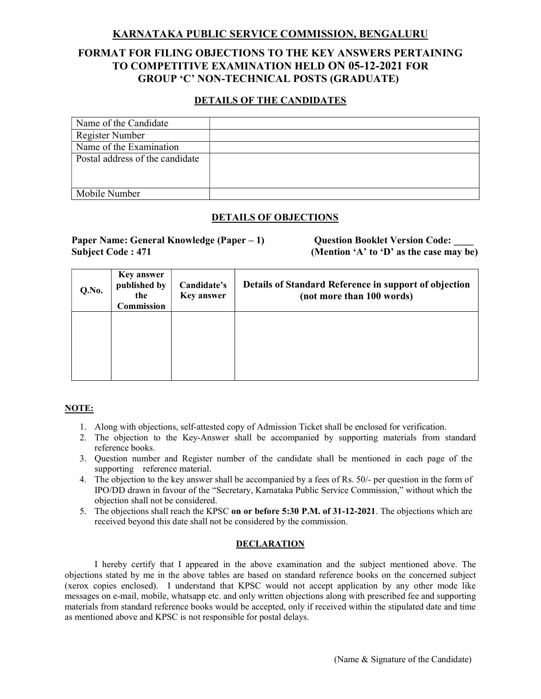## KARNATAKA PUBLIC SERVICE COMMISSION, BENGALURU

# FORMAT FOR FILING OBJECTIONS TO THE KEY ANSWERS PERTAINING TO COMPETITIVE EXAMINATION HELD ON 05-12-2021 FOR GROUP 'C' NON-TECHNICAL POSTS (GRADUATE)

## DETAILS OF THE CANDIDATES

| Name of the Candidate           |  |
|---------------------------------|--|
| Register Number                 |  |
| Name of the Examination         |  |
| Postal address of the candidate |  |
|                                 |  |
|                                 |  |
| Mobile Number                   |  |

## DETAILS OF OBJECTIONS

Paper Name: General Knowledge (Paper – 1) Question Booklet Version Code: Subject Code : 471 (Mention 'A' to 'D' as the case may be)

| Q.No. | <b>Key answer</b><br>published by<br>the<br><b>Commission</b> | Candidate's<br><b>Key answer</b> | Details of Standard Reference in support of objection<br>(not more than 100 words) |
|-------|---------------------------------------------------------------|----------------------------------|------------------------------------------------------------------------------------|
|       |                                                               |                                  |                                                                                    |

### NOTE:

- 1. Along with objections, self-attested copy of Admission Ticket shall be enclosed for verification.
- 2. The objection to the Key-Answer shall be accompanied by supporting materials from standard reference books.
- 3. Question number and Register number of the candidate shall be mentioned in each page of the supporting reference material.
- 4. The objection to the key answer shall be accompanied by a fees of Rs. 50/- per question in the form of IPO/DD drawn in favour of the "Secretary, Karnataka Public Service Commission," without which the objection shall not be considered.
- 5. The objections shall reach the KPSC on or before 5:30 P.M. of 31-12-2021. The objections which are received beyond this date shall not be considered by the commission.

### **DECLARATION**

 I hereby certify that I appeared in the above examination and the subject mentioned above. The objections stated by me in the above tables are based on standard reference books on the concerned subject (xerox copies enclosed). I understand that KPSC would not accept application by any other mode like messages on e-mail, mobile, whatsapp etc. and only written objections along with prescribed fee and supporting materials from standard reference books would be accepted, only if received within the stipulated date and time as mentioned above and KPSC is not responsible for postal delays.